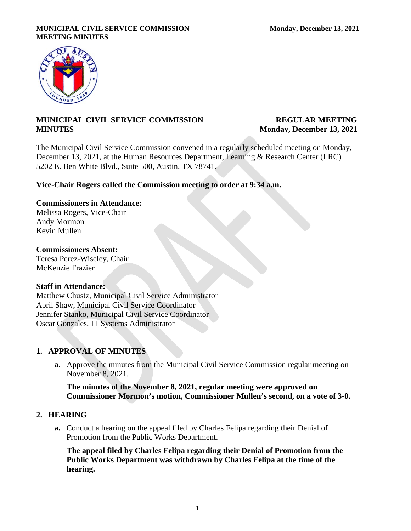### **MUNICIPAL CIVIL SERVICE COMMISSION Monday, December 13, 2021 MEETING MINUTES**



# **MUNICIPAL CIVIL SERVICE COMMISSION REGULAR MEETING MINUTES** Monday, December 13, 2021

The Municipal Civil Service Commission convened in a regularly scheduled meeting on Monday, December 13, 2021, at the Human Resources Department, Learning & Research Center (LRC) 5202 E. Ben White Blvd., Suite 500, Austin, TX 78741.

## **Vice-Chair Rogers called the Commission meeting to order at 9:34 a.m.**

# **Commissioners in Attendance:**

Melissa Rogers, Vice-Chair Andy Mormon Kevin Mullen

## **Commissioners Absent:**

Teresa Perez-Wiseley, Chair McKenzie Frazier

## **Staff in Attendance:**

Matthew Chustz, Municipal Civil Service Administrator April Shaw, Municipal Civil Service Coordinator Jennifer Stanko, Municipal Civil Service Coordinator Oscar Gonzales, IT Systems Administrator

# **1. APPROVAL OF MINUTES**

**a.** Approve the minutes from the Municipal Civil Service Commission regular meeting on November 8, 2021.

**The minutes of the November 8, 2021, regular meeting were approved on Commissioner Mormon's motion, Commissioner Mullen's second, on a vote of 3-0.**

## **2. HEARING**

**a.** Conduct a hearing on the appeal filed by Charles Felipa regarding their Denial of Promotion from the Public Works Department.

**The appeal filed by Charles Felipa regarding their Denial of Promotion from the Public Works Department was withdrawn by Charles Felipa at the time of the hearing.**